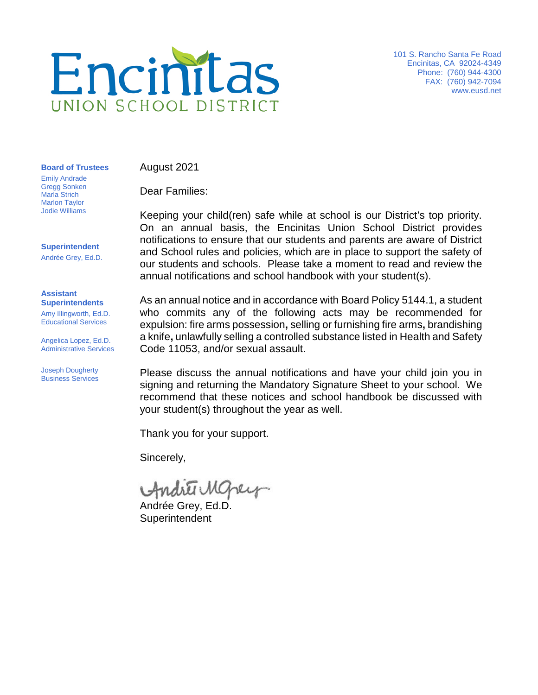

101 S. Rancho Santa Fe Road Encinitas, CA 92024-4349 Phone: (760) 944-4300 FAX: (760) 942-7094 [www.eusd.net](http://www.eusd.net/)

**Board of Trustees**

August 2021

Dear Families:

Keeping your child(ren) safe while at school is our District's top priority. On an annual basis, the Encinitas Union School District provides notifications to ensure that our students and parents are aware of District and School rules and policies, which are in place to support the safety of our students and schools. Please take a moment to read and review the annual notifications and school handbook with your student(s).

As an annual notice and in accordance with Board Policy 5144.1, a student who commits any of the following acts may be recommended for expulsion: fire arms possession**,** selling or furnishing fire arms**,** brandishing a knife**,** unlawfully selling a controlled substance listed in Health and Safety Code 11053, and/or sexual assault.

Please discuss the annual notifications and have your child join you in signing and returning the Mandatory Signature Sheet to your school. We recommend that these notices and school handbook be discussed with your student(s) throughout the year as well.

Thank you for your support.

Sincerely,

Andrei Mopey

Andrée Grey, Ed.D. **Superintendent** 

Emily Andrade Gregg Sonken Marla Strich Marlon Taylor Jodie Williams

**Superintendent**

Andrée Grey, Ed.D.

## **Assistant Superintendents**

Amy Illingworth, Ed.D. Educational Services

Angelica Lopez, Ed.D. Administrative Services

Joseph Dougherty Business Services